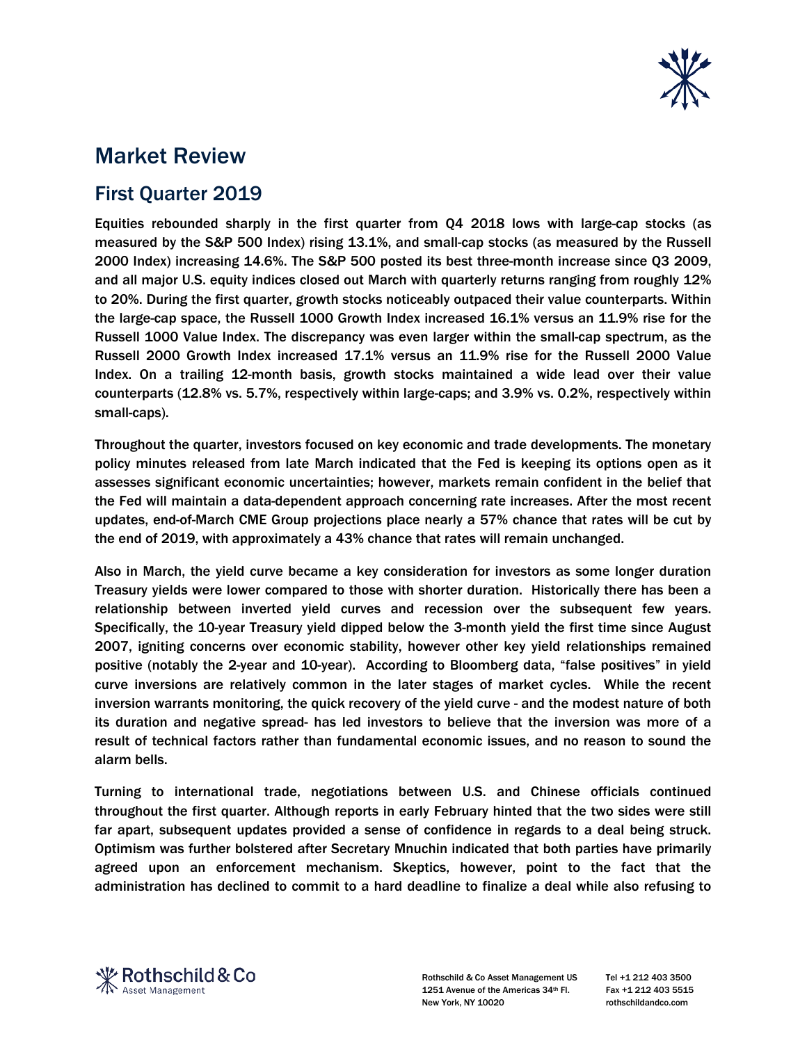

## Market Review

## First Quarter 2019

Equities rebounded sharply in the first quarter from Q4 2018 lows with large-cap stocks (as measured by the S&P 500 Index) rising 13.1%, and small-cap stocks (as measured by the Russell 2000 Index) increasing 14.6%. The S&P 500 posted its best three-month increase since Q3 2009, and all major U.S. equity indices closed out March with quarterly returns ranging from roughly 12% to 20%. During the first quarter, growth stocks noticeably outpaced their value counterparts. Within the large-cap space, the Russell 1000 Growth Index increased 16.1% versus an 11.9% rise for the Russell 1000 Value Index. The discrepancy was even larger within the small-cap spectrum, as the Russell 2000 Growth Index increased 17.1% versus an 11.9% rise for the Russell 2000 Value Index. On a trailing 12-month basis, growth stocks maintained a wide lead over their value counterparts (12.8% vs. 5.7%, respectively within large-caps; and 3.9% vs. 0.2%, respectively within small-caps).

Throughout the quarter, investors focused on key economic and trade developments. The monetary policy minutes released from late March indicated that the Fed is keeping its options open as it assesses significant economic uncertainties; however, markets remain confident in the belief that the Fed will maintain a data-dependent approach concerning rate increases. After the most recent updates, end-of-March CME Group projections place nearly a 57% chance that rates will be cut by the end of 2019, with approximately a 43% chance that rates will remain unchanged.

Also in March, the yield curve became a key consideration for investors as some longer duration Treasury yields were lower compared to those with shorter duration. Historically there has been a relationship between inverted yield curves and recession over the subsequent few years. Specifically, the 10-year Treasury yield dipped below the 3-month yield the first time since August 2007, igniting concerns over economic stability, however other key yield relationships remained positive (notably the 2-year and 10-year). According to Bloomberg data, "false positives" in yield curve inversions are relatively common in the later stages of market cycles. While the recent inversion warrants monitoring, the quick recovery of the yield curve - and the modest nature of both its duration and negative spread- has led investors to believe that the inversion was more of a result of technical factors rather than fundamental economic issues, and no reason to sound the alarm bells.

Turning to international trade, negotiations between U.S. and Chinese officials continued throughout the first quarter. Although reports in early February hinted that the two sides were still far apart, subsequent updates provided a sense of confidence in regards to a deal being struck. Optimism was further bolstered after Secretary Mnuchin indicated that both parties have primarily agreed upon an enforcement mechanism. Skeptics, however, point to the fact that the administration has declined to commit to a hard deadline to finalize a deal while also refusing to